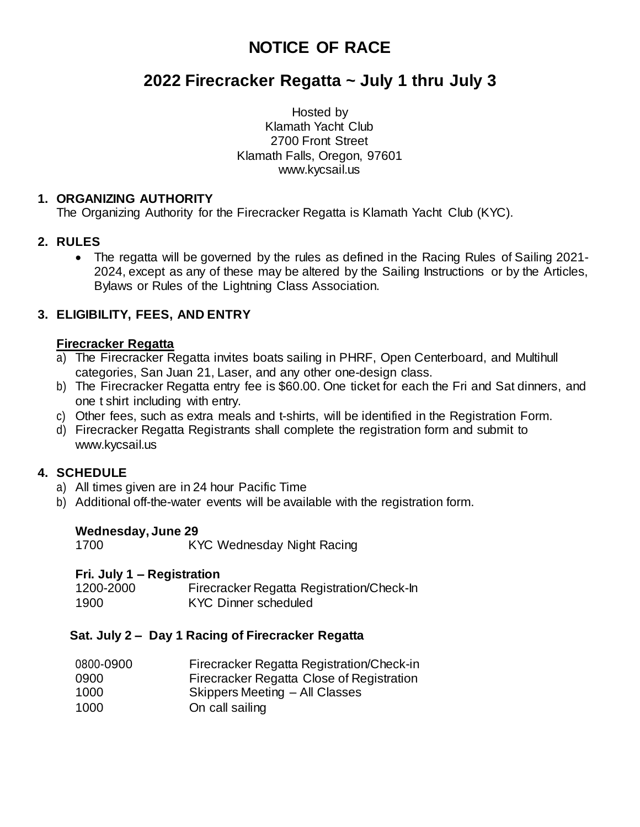# **NOTICE OF RACE**

# **2022 Firecracker Regatta ~ July 1 thru July 3**

Hosted by Klamath Yacht Club 2700 Front Street Klamath Falls, Oregon, 97601 [www.kycsail.us](http://www.kycsail.us/)

#### **1. ORGANIZING AUTHORITY**

The Organizing Authority for the Firecracker Regatta is Klamath Yacht Club (KYC).

#### **2. RULES**

• The regatta will be governed by the rules as defined in the Racing Rules of Sailing 2021- 2024, except as any of these may be altered by the Sailing Instructions or by the Articles, Bylaws or Rules of the Lightning Class Association.

# **3. ELIGIBILITY, FEES, AND ENTRY**

#### **Firecracker Regatta**

- a) The Firecracker Regatta invites boats sailing in PHRF, Open Centerboard, and Multihull categories, San Juan 21, Laser, and any other one-design class.
- b) The Firecracker Regatta entry fee is \$60.00. One ticket for each the Fri and Sat dinners, and one t shirt including with entry.
- c) Other fees, such as extra meals and t-shirts, will be identified in the Registration Form.
- d) Firecracker Regatta Registrants shall complete the registration form and submit to [www.kycsail.us](http://www.kycsail.us/)

# **4. SCHEDULE**

- a) All times given are in 24 hour Pacific Time
- b) Additional off-the-water events will be available with the registration form.

#### **Wednesday, June 29**

1700 KYC Wednesday Night Racing

#### **Fri. July 1 – Registration**

1200-2000 Firecracker Regatta Registration/Check-In 1900 KYC Dinner scheduled

#### **Sat. July 2 – Day 1 Racing of Firecracker Regatta**

| 0800-0900 | Firecracker Regatta Registration/Check-in |
|-----------|-------------------------------------------|
| 0900      | Firecracker Regatta Close of Registration |
| 1000      | Skippers Meeting – All Classes            |
| 1000      | On call sailing                           |